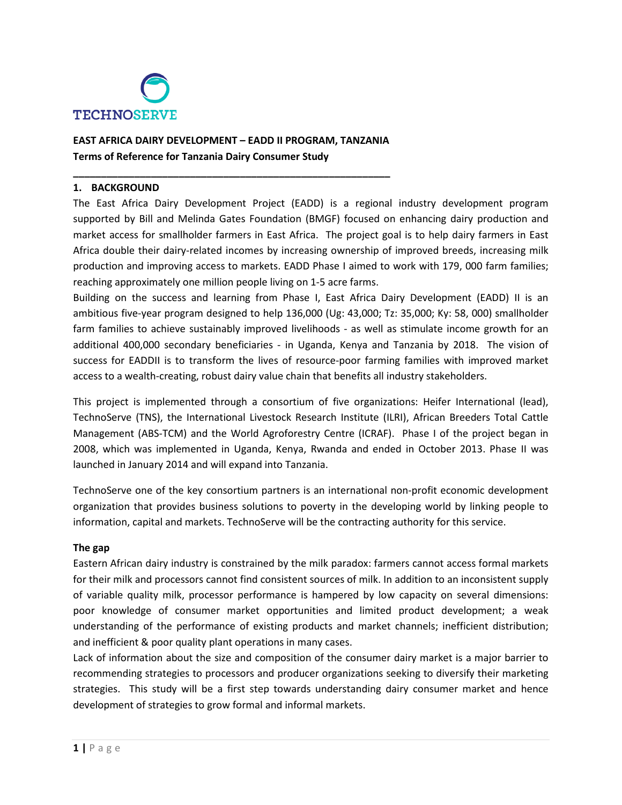

# **EAST AFRICA DAIRY DEVELOPMENT – EADD II PROGRAM, TANZANIA Terms of Reference for Tanzania Dairy Consumer Study**

**\_\_\_\_\_\_\_\_\_\_\_\_\_\_\_\_\_\_\_\_\_\_\_\_\_\_\_\_\_\_\_\_\_\_\_\_\_\_\_\_\_\_\_\_\_\_\_\_\_\_\_\_\_\_\_\_\_**

### **1. BACKGROUND**

The East Africa Dairy Development Project (EADD) is a regional industry development program supported by Bill and Melinda Gates Foundation (BMGF) focused on enhancing dairy production and market access for smallholder farmers in East Africa. The project goal is to help dairy farmers in East Africa double their dairy-related incomes by increasing ownership of improved breeds, increasing milk production and improving access to markets. EADD Phase I aimed to work with 179, 000 farm families; reaching approximately one million people living on 1-5 acre farms.

Building on the success and learning from Phase I, East Africa Dairy Development (EADD) II is an ambitious five-year program designed to help 136,000 (Ug: 43,000; Tz: 35,000; Ky: 58, 000) smallholder farm families to achieve sustainably improved livelihoods - as well as stimulate income growth for an additional 400,000 secondary beneficiaries - in Uganda, Kenya and Tanzania by 2018. The vision of success for EADDII is to transform the lives of resource-poor farming families with improved market access to a wealth-creating, robust dairy value chain that benefits all industry stakeholders.

This project is implemented through a consortium of five organizations: Heifer International (lead), TechnoServe (TNS), the International Livestock Research Institute (ILRI), African Breeders Total Cattle Management (ABS-TCM) and the World Agroforestry Centre (ICRAF). Phase I of the project began in 2008, which was implemented in Uganda, Kenya, Rwanda and ended in October 2013. Phase II was launched in January 2014 and will expand into Tanzania.

TechnoServe one of the key consortium partners is an international non-profit economic development organization that provides business solutions to poverty in the developing world by linking people to information, capital and markets. TechnoServe will be the contracting authority for this service.

### **The gap**

Eastern African dairy industry is constrained by the milk paradox: farmers cannot access formal markets for their milk and processors cannot find consistent sources of milk. In addition to an inconsistent supply of variable quality milk, processor performance is hampered by low capacity on several dimensions: poor knowledge of consumer market opportunities and limited product development; a weak understanding of the performance of existing products and market channels; inefficient distribution; and inefficient & poor quality plant operations in many cases.

Lack of information about the size and composition of the consumer dairy market is a major barrier to recommending strategies to processors and producer organizations seeking to diversify their marketing strategies. This study will be a first step towards understanding dairy consumer market and hence development of strategies to grow formal and informal markets.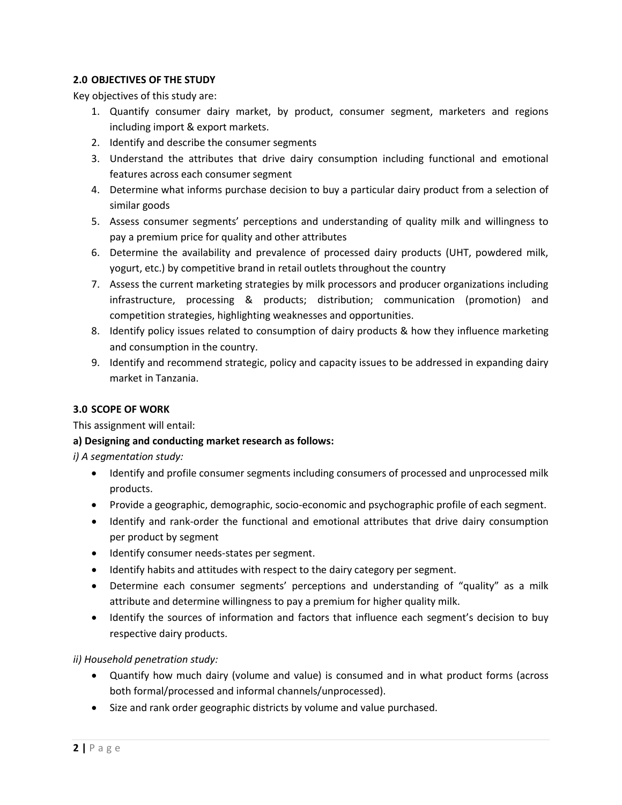## **2.0 OBJECTIVES OF THE STUDY**

Key objectives of this study are:

- 1. Quantify consumer dairy market, by product, consumer segment, marketers and regions including import & export markets.
- 2. Identify and describe the consumer segments
- 3. Understand the attributes that drive dairy consumption including functional and emotional features across each consumer segment
- 4. Determine what informs purchase decision to buy a particular dairy product from a selection of similar goods
- 5. Assess consumer segments' perceptions and understanding of quality milk and willingness to pay a premium price for quality and other attributes
- 6. Determine the availability and prevalence of processed dairy products (UHT, powdered milk, yogurt, etc.) by competitive brand in retail outlets throughout the country
- 7. Assess the current marketing strategies by milk processors and producer organizations including infrastructure, processing & products; distribution; communication (promotion) and competition strategies, highlighting weaknesses and opportunities.
- 8. Identify policy issues related to consumption of dairy products & how they influence marketing and consumption in the country.
- 9. Identify and recommend strategic, policy and capacity issues to be addressed in expanding dairy market in Tanzania.

## **3.0 SCOPE OF WORK**

This assignment will entail:

## **a) Designing and conducting market research as follows:**

*i) A segmentation study:*

- Identify and profile consumer segments including consumers of processed and unprocessed milk products.
- Provide a geographic, demographic, socio-economic and psychographic profile of each segment.
- Identify and rank-order the functional and emotional attributes that drive dairy consumption per product by segment
- Identify consumer needs-states per segment.
- Identify habits and attitudes with respect to the dairy category per segment.
- Determine each consumer segments' perceptions and understanding of "quality" as a milk attribute and determine willingness to pay a premium for higher quality milk.
- Identify the sources of information and factors that influence each segment's decision to buy respective dairy products.

## *ii) Household penetration study:*

- Quantify how much dairy (volume and value) is consumed and in what product forms (across both formal/processed and informal channels/unprocessed).
- Size and rank order geographic districts by volume and value purchased.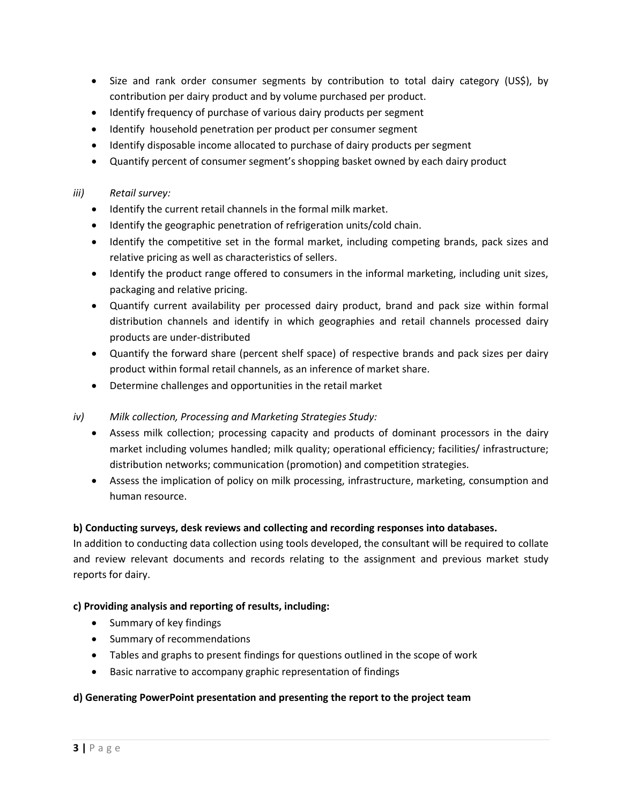- Size and rank order consumer segments by contribution to total dairy category (US\$), by contribution per dairy product and by volume purchased per product.
- Identify frequency of purchase of various dairy products per segment
- Identify household penetration per product per consumer segment
- Identify disposable income allocated to purchase of dairy products per segment
- Quantify percent of consumer segment's shopping basket owned by each dairy product

### *iii) Retail survey:*

- Identify the current retail channels in the formal milk market.
- Identify the geographic penetration of refrigeration units/cold chain.
- Identify the competitive set in the formal market, including competing brands, pack sizes and relative pricing as well as characteristics of sellers.
- Identify the product range offered to consumers in the informal marketing, including unit sizes, packaging and relative pricing.
- Quantify current availability per processed dairy product, brand and pack size within formal distribution channels and identify in which geographies and retail channels processed dairy products are under-distributed
- Quantify the forward share (percent shelf space) of respective brands and pack sizes per dairy product within formal retail channels, as an inference of market share.
- Determine challenges and opportunities in the retail market
- *iv) Milk collection, Processing and Marketing Strategies Study:*
	- Assess milk collection; processing capacity and products of dominant processors in the dairy market including volumes handled; milk quality; operational efficiency; facilities/ infrastructure; distribution networks; communication (promotion) and competition strategies.
	- Assess the implication of policy on milk processing, infrastructure, marketing, consumption and human resource.

### **b) Conducting surveys, desk reviews and collecting and recording responses into databases.**

In addition to conducting data collection using tools developed, the consultant will be required to collate and review relevant documents and records relating to the assignment and previous market study reports for dairy.

### **c) Providing analysis and reporting of results, including:**

- Summary of key findings
- Summary of recommendations
- Tables and graphs to present findings for questions outlined in the scope of work
- Basic narrative to accompany graphic representation of findings

### **d) Generating PowerPoint presentation and presenting the report to the project team**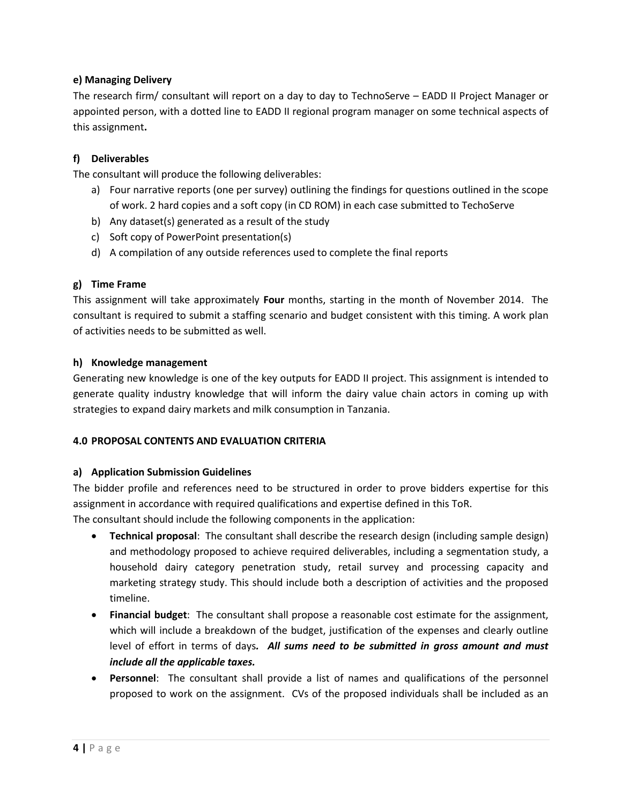## **e) Managing Delivery**

The research firm/ consultant will report on a day to day to TechnoServe – EADD II Project Manager or appointed person, with a dotted line to EADD II regional program manager on some technical aspects of this assignment**.**

## **f) Deliverables**

The consultant will produce the following deliverables:

- a) Four narrative reports (one per survey) outlining the findings for questions outlined in the scope of work. 2 hard copies and a soft copy (in CD ROM) in each case submitted to TechoServe
- b) Any dataset(s) generated as a result of the study
- c) Soft copy of PowerPoint presentation(s)
- d) A compilation of any outside references used to complete the final reports

## **g) Time Frame**

This assignment will take approximately **Four** months, starting in the month of November 2014. The consultant is required to submit a staffing scenario and budget consistent with this timing. A work plan of activities needs to be submitted as well.

### **h) Knowledge management**

Generating new knowledge is one of the key outputs for EADD II project. This assignment is intended to generate quality industry knowledge that will inform the dairy value chain actors in coming up with strategies to expand dairy markets and milk consumption in Tanzania.

### **4.0 PROPOSAL CONTENTS AND EVALUATION CRITERIA**

### **a) Application Submission Guidelines**

The bidder profile and references need to be structured in order to prove bidders expertise for this assignment in accordance with required qualifications and expertise defined in this ToR. The consultant should include the following components in the application:

- **Technical proposal**: The consultant shall describe the research design (including sample design) and methodology proposed to achieve required deliverables, including a segmentation study, a household dairy category penetration study, retail survey and processing capacity and marketing strategy study. This should include both a description of activities and the proposed timeline.
- **Financial budget**: The consultant shall propose a reasonable cost estimate for the assignment, which will include a breakdown of the budget, justification of the expenses and clearly outline level of effort in terms of days*. All sums need to be submitted in gross amount and must include all the applicable taxes.*
- **Personnel**: The consultant shall provide a list of names and qualifications of the personnel proposed to work on the assignment. CVs of the proposed individuals shall be included as an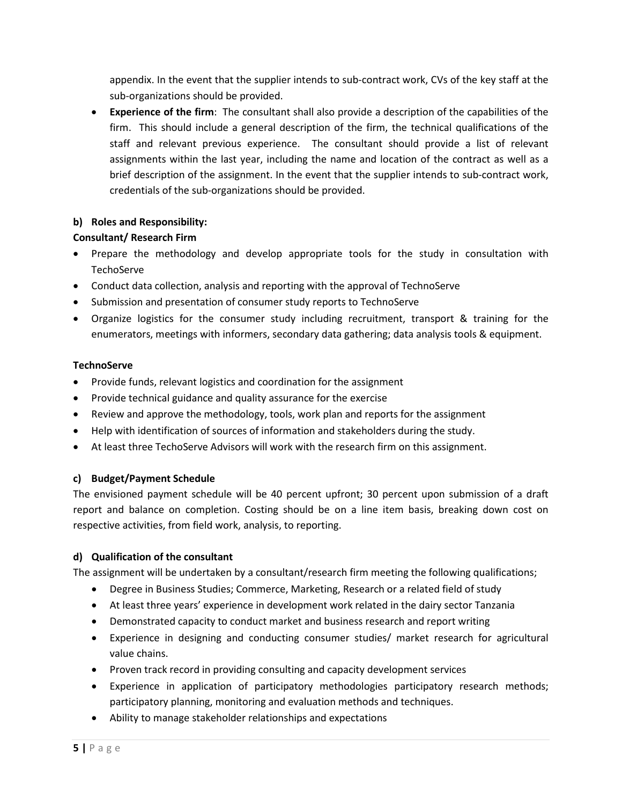appendix. In the event that the supplier intends to sub-contract work, CVs of the key staff at the sub-organizations should be provided.

• **Experience of the firm**: The consultant shall also provide a description of the capabilities of the firm. This should include a general description of the firm, the technical qualifications of the staff and relevant previous experience. The consultant should provide a list of relevant assignments within the last year, including the name and location of the contract as well as a brief description of the assignment. In the event that the supplier intends to sub-contract work, credentials of the sub-organizations should be provided.

# **b) Roles and Responsibility:**

# **Consultant/ Research Firm**

- Prepare the methodology and develop appropriate tools for the study in consultation with **TechoServe**
- Conduct data collection, analysis and reporting with the approval of TechnoServe
- Submission and presentation of consumer study reports to TechnoServe
- Organize logistics for the consumer study including recruitment, transport & training for the enumerators, meetings with informers, secondary data gathering; data analysis tools & equipment.

# **TechnoServe**

- Provide funds, relevant logistics and coordination for the assignment
- Provide technical guidance and quality assurance for the exercise
- Review and approve the methodology, tools, work plan and reports for the assignment
- Help with identification of sources of information and stakeholders during the study.
- At least three TechoServe Advisors will work with the research firm on this assignment.

# **c) Budget/Payment Schedule**

The envisioned payment schedule will be 40 percent upfront; 30 percent upon submission of a draft report and balance on completion. Costing should be on a line item basis, breaking down cost on respective activities, from field work, analysis, to reporting.

# **d) Qualification of the consultant**

The assignment will be undertaken by a consultant/research firm meeting the following qualifications;

- Degree in Business Studies; Commerce, Marketing, Research or a related field of study
- At least three years' experience in development work related in the dairy sector Tanzania
- Demonstrated capacity to conduct market and business research and report writing
- Experience in designing and conducting consumer studies/ market research for agricultural value chains.
- Proven track record in providing consulting and capacity development services
- Experience in application of participatory methodologies participatory research methods; participatory planning, monitoring and evaluation methods and techniques.
- Ability to manage stakeholder relationships and expectations